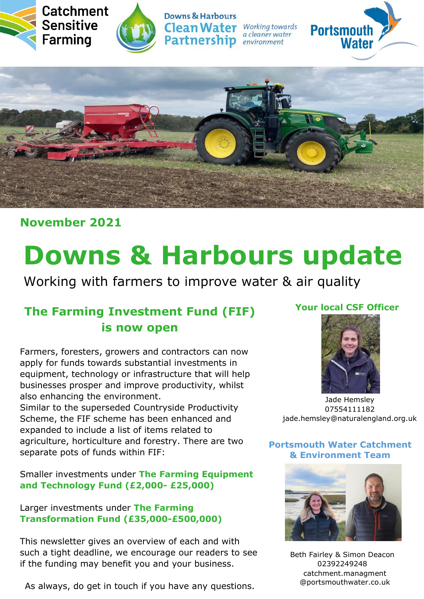





**Downs & Harbours Clean Water** Working towards **Partnership** *environment* 

a cleaner water





**November 2021**

# **Downs & Harbours update**

Working with farmers to improve water & air quality

# **The Farming Investment Fund (FIF) is now open**

Farmers, foresters, growers and contractors can now apply for funds towards substantial investments in equipment, technology or infrastructure that will help businesses prosper and improve productivity, whilst also enhancing the environment. Similar to the superseded Countryside Productivity Scheme, the FIF scheme has been enhanced and expanded to include a list of items related to agriculture, horticulture and forestry. There are two separate pots of funds within FIF:

#### Smaller investments under **The Farming Equipment and Technology Fund (£2,000- £25,000)**

#### Larger investments under **The Farming Transformation Fund (£35,000-£500,000)**

This newsletter gives an overview of each and with such a tight deadline, we encourage our readers to see if the funding may benefit you and your business.

As always, do get in touch if you have any questions.

### **Your local CSF Officer**



Jade Hemsley 07554111182 jade.hemsley@naturalengland.org.uk

#### **Portsmouth Water Catchment & Environment Team**



Beth Fairley & Simon Deacon 02392249248 catchment.managment @portsmouthwater.co.uk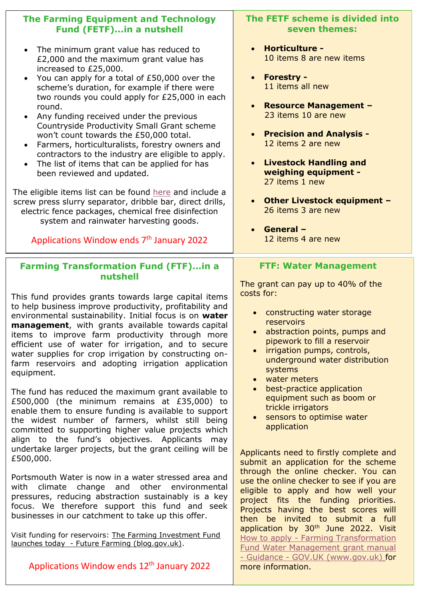| <b>The Farming Equipment and Technology</b><br><b>Fund (FETF)in a nutshell</b>                                                                                                                                                                                                                                                                                                                                                                                                                                                                                                                                                                                                                                                                                                                                                                                                                                                           | The FETF scheme is divided into<br>seven themes:                                                                                                                                                                                                                                                                                                                                                                                                                     |
|------------------------------------------------------------------------------------------------------------------------------------------------------------------------------------------------------------------------------------------------------------------------------------------------------------------------------------------------------------------------------------------------------------------------------------------------------------------------------------------------------------------------------------------------------------------------------------------------------------------------------------------------------------------------------------------------------------------------------------------------------------------------------------------------------------------------------------------------------------------------------------------------------------------------------------------|----------------------------------------------------------------------------------------------------------------------------------------------------------------------------------------------------------------------------------------------------------------------------------------------------------------------------------------------------------------------------------------------------------------------------------------------------------------------|
| The minimum grant value has reduced to<br>$\bullet$<br>£2,000 and the maximum grant value has<br>increased to £25,000.<br>You can apply for a total of £50,000 over the<br>scheme's duration, for example if there were<br>two rounds you could apply for £25,000 in each<br>round.<br>Any funding received under the previous<br>$\bullet$<br>Countryside Productivity Small Grant scheme<br>won't count towards the £50,000 total.<br>Farmers, horticulturalists, forestry owners and<br>$\bullet$<br>contractors to the industry are eligible to apply.<br>The list of items that can be applied for has<br>$\bullet$<br>been reviewed and updated.<br>The eligible items list can be found here and include a<br>screw press slurry separator, dribble bar, direct drills,<br>electric fence packages, chemical free disinfection<br>system and rainwater harvesting goods.<br>Applications Window ends 7 <sup>th</sup> January 2022 | <b>Horticulture -</b><br>$\bullet$<br>10 items 8 are new items<br><b>Forestry -</b><br>$\bullet$<br>11 items all new<br><b>Resource Management -</b><br>$\bullet$<br>23 items 10 are new<br>• Precision and Analysis -<br>12 items 2 are new<br><b>Livestock Handling and</b><br>$\bullet$<br>weighing equipment -<br>27 items 1 new<br><b>Other Livestock equipment -</b><br>$\bullet$<br>26 items 3 are new<br><b>General -</b><br>$\bullet$<br>12 items 4 are new |
| <b>Farming Transformation Fund (FTF)in a</b><br>nutshell<br>This fund provides grants towards large capital items<br>to help business improve productivity, profitability and<br>environmental sustainability. Initial focus is on water<br>management, with grants available towards capital<br>items to improve farm productivity through more<br>efficient use of water for irrigation, and to secure<br>water supplies for crop irrigation by constructing on-<br>farm reservoirs and adopting irrigation application<br>equipment.<br>The fund has reduced the maximum grant available to                                                                                                                                                                                                                                                                                                                                           | <b>FTF: Water Management</b><br>The grant can pay up to 40% of the<br>costs for:<br>• constructing water storage<br>reservoirs<br>abstraction points, pumps and<br>pipework to fill a reservoir<br>irrigation pumps, controls,<br>underground water distribution<br>systems<br>water meters<br>best-practice application<br>equipment such as boom or                                                                                                                |
| £500,000 (the minimum remains at £35,000) to<br>enable them to ensure funding is available to support<br>the widest number of farmers, whilst still being<br>committed to supporting higher value projects which<br>align to the fund's objectives. Applicants<br>may<br>undertake larger projects, but the grant ceiling will be<br>£500,000.                                                                                                                                                                                                                                                                                                                                                                                                                                                                                                                                                                                           | trickle irrigators<br>sensors to optimise water<br>$\bullet$<br>application<br>Applicants need to firstly complete and<br>submit an application for the scheme                                                                                                                                                                                                                                                                                                       |
| Portsmouth Water is now in a water stressed area and<br>climate change and other environmental<br>with<br>pressures, reducing abstraction sustainably is a key<br>focus. We therefore support this fund and seek<br>businesses in our catchment to take up this offer.<br>Visit funding for reservoirs: The Farming Investment Fund                                                                                                                                                                                                                                                                                                                                                                                                                                                                                                                                                                                                      | through the online checker. You can<br>use the online checker to see if you are<br>eligible to apply and how well your<br>project fits the funding priorities.<br>Projects having the best scores will<br>then be invited to submit a full<br>application by 30 <sup>th</sup> June 2022. Visit                                                                                                                                                                       |
| launches today - Future Farming (blog.gov.uk).<br>Applications Window ends 12 <sup>th</sup> January 2022                                                                                                                                                                                                                                                                                                                                                                                                                                                                                                                                                                                                                                                                                                                                                                                                                                 | How to apply - Farming Transformation<br><b>Fund Water Management grant manual</b><br>- Guidance - GOV.UK (www.gov.uk) for<br>more information.                                                                                                                                                                                                                                                                                                                      |